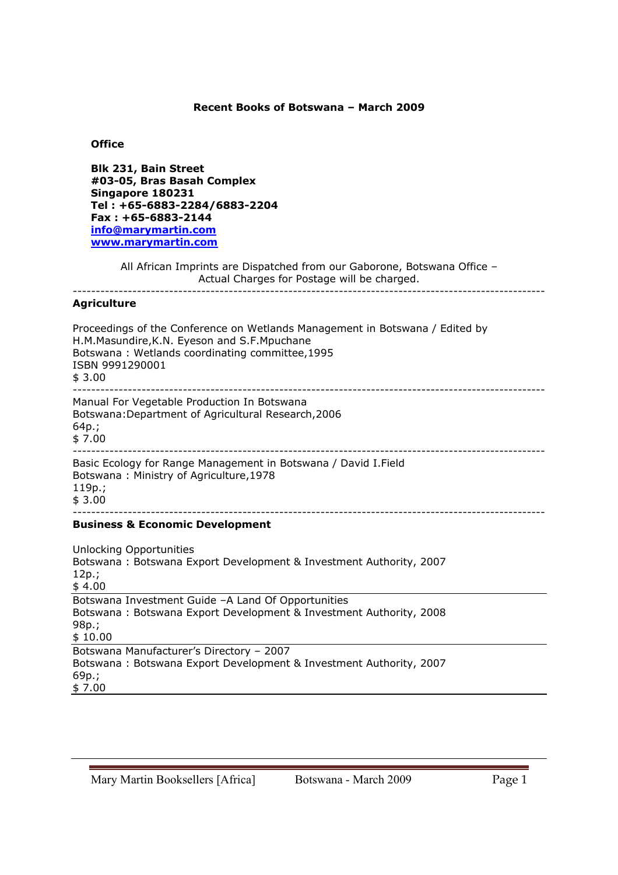### **Recent Books of Botswana – March 2009**

## **Office**

**Blk 231, Bain Street #03-05, Bras Basah Complex Singapore 180231 Tel : +65-6883-2284/6883-2204 Fax : +65-6883-2144 info@marymartin.com www.marymartin.com**

All African Imprints are Dispatched from our Gaborone, Botswana Office – Actual Charges for Postage will be charged. -------------------------------------------------------------------------------------------------------

#### **Agriculture**

Proceedings of the Conference on Wetlands Management in Botswana / Edited by H.M.Masundire,K.N. Eyeson and S.F.Mpuchane Botswana : Wetlands coordinating committee,1995 ISBN 9991290001 \$ 3.00 ------------------------------------------------------------------------------------------------------- Manual For Vegetable Production In Botswana Botswana:Department of Agricultural Research,2006 64p.; \$ 7.00 ------------------------------------------------------------------------------------------------------- Basic Ecology for Range Management in Botswana / David I.Field Botswana : Ministry of Agriculture,1978 119p.; \$ 3.00 ------------------------------------------------------------------------------------------------------- **Business & Economic Development**

Unlocking Opportunities Botswana : Botswana Export Development & Investment Authority, 2007 12p.; \$ 4.00 Botswana Investment Guide –A Land Of Opportunities Botswana : Botswana Export Development & Investment Authority, 2008 98p.; \$ 10.00 Botswana Manufacturer's Directory – 2007 Botswana : Botswana Export Development & Investment Authority, 2007 69p.; \$ 7.00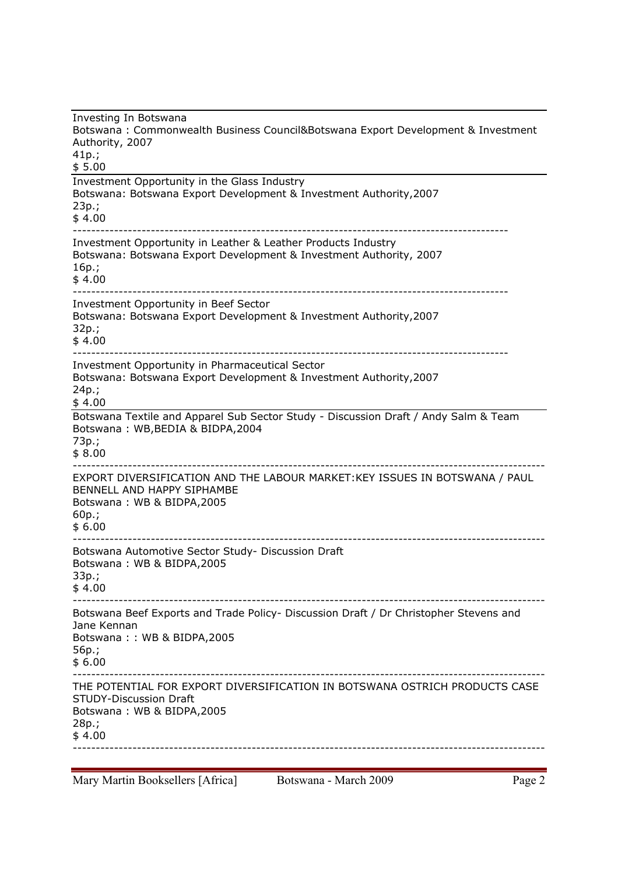Investing In Botswana Botswana : Commonwealth Business Council&Botswana Export Development & Investment Authority, 2007 41p.;  $$5.00$ Investment Opportunity in the Glass Industry Botswana: Botswana Export Development & Investment Authority,2007 23p.; \$ 4.00 ----------------------------------------------------------------------------------------------- Investment Opportunity in Leather & Leather Products Industry Botswana: Botswana Export Development & Investment Authority, 2007 16p.; \$ 4.00 ----------------------------------------------------------------------------------------------- Investment Opportunity in Beef Sector Botswana: Botswana Export Development & Investment Authority,2007 32p.; \$ 4.00 ----------------------------------------------------------------------------------------------- Investment Opportunity in Pharmaceutical Sector Botswana: Botswana Export Development & Investment Authority,2007 24p.; \$ 4.00 Botswana Textile and Apparel Sub Sector Study - Discussion Draft / Andy Salm & Team Botswana : WB,BEDIA & BIDPA,2004 73p.;  $$8.00$ ------------------------------------------------------------------------------------------------------- EXPORT DIVERSIFICATION AND THE LABOUR MARKET:KEY ISSUES IN BOTSWANA / PAUL BENNELL AND HAPPY SIPHAMBE Botswana : WB & BIDPA,2005 60p.; \$ 6.00 ------------------------------------------------------------------------------------------------------- Botswana Automotive Sector Study- Discussion Draft Botswana : WB & BIDPA,2005 33p.;  $$4.00$ ------------------------------------------------------------------------------------------------------- Botswana Beef Exports and Trade Policy- Discussion Draft / Dr Christopher Stevens and Jane Kennan Botswana : : WB & BIDPA,2005 56p.; \$ 6.00 ------------------------------------------------------------------------------------------------------- THE POTENTIAL FOR EXPORT DIVERSIFICATION IN BOTSWANA OSTRICH PRODUCTS CASE STUDY-Discussion Draft Botswana : WB & BIDPA,2005 28p.;  $$4.00$ -------------------------------------------------------------------------------------------------------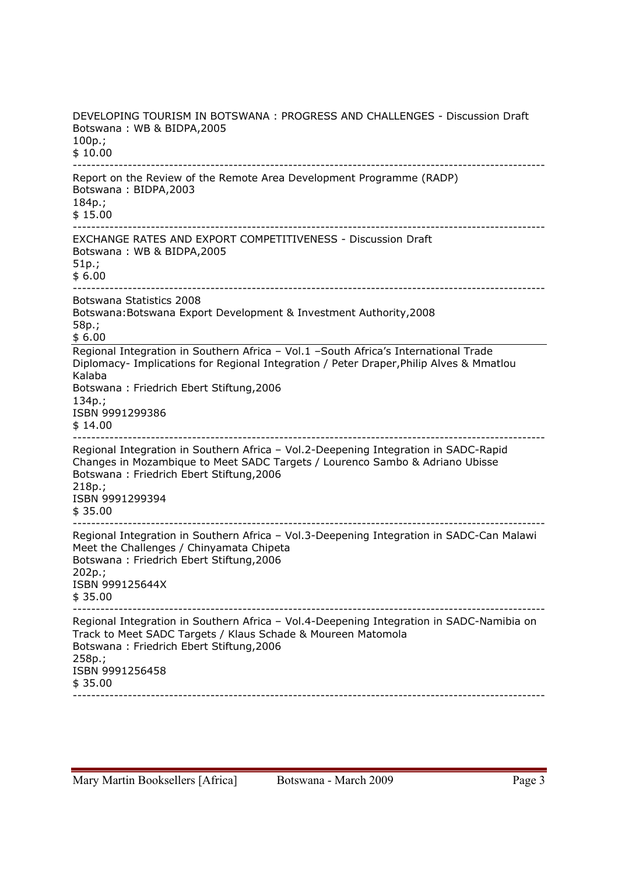DEVELOPING TOURISM IN BOTSWANA : PROGRESS AND CHALLENGES - Discussion Draft Botswana : WB & BIDPA,2005 100p.; \$ 10.00 ------------------------------------------------------------------------------------------------------- Report on the Review of the Remote Area Development Programme (RADP) Botswana : BIDPA,2003 184p.; \$ 15.00 ------------------------------------------------------------------------------------------------------- EXCHANGE RATES AND EXPORT COMPETITIVENESS - Discussion Draft Botswana : WB & BIDPA,2005 51p.; \$ 6.00 ------------------------------------------------------------------------------------------------------- Botswana Statistics 2008 Botswana:Botswana Export Development & Investment Authority,2008 58p.; \$ 6.00 Regional Integration in Southern Africa – Vol.1 –South Africa's International Trade Diplomacy- Implications for Regional Integration / Peter Draper,Philip Alves & Mmatlou Kalaba Botswana : Friedrich Ebert Stiftung,2006 134p.; ISBN 9991299386 \$ 14.00 ------------------------------------------------------------------------------------------------------- Regional Integration in Southern Africa – Vol.2-Deepening Integration in SADC-Rapid Changes in Mozambique to Meet SADC Targets / Lourenco Sambo & Adriano Ubisse Botswana : Friedrich Ebert Stiftung,2006 218p.; ISBN 9991299394 \$ 35.00 ------------------------------------------------------------------------------------------------------- Regional Integration in Southern Africa – Vol.3-Deepening Integration in SADC-Can Malawi Meet the Challenges / Chinyamata Chipeta Botswana : Friedrich Ebert Stiftung,2006 202p.; ISBN 999125644X \$ 35.00 ------------------------------------------------------------------------------------------------------- Regional Integration in Southern Africa – Vol.4-Deepening Integration in SADC-Namibia on Track to Meet SADC Targets / Klaus Schade & Moureen Matomola Botswana : Friedrich Ebert Stiftung,2006 258p.; ISBN 9991256458  $$35.00$ -------------------------------------------------------------------------------------------------------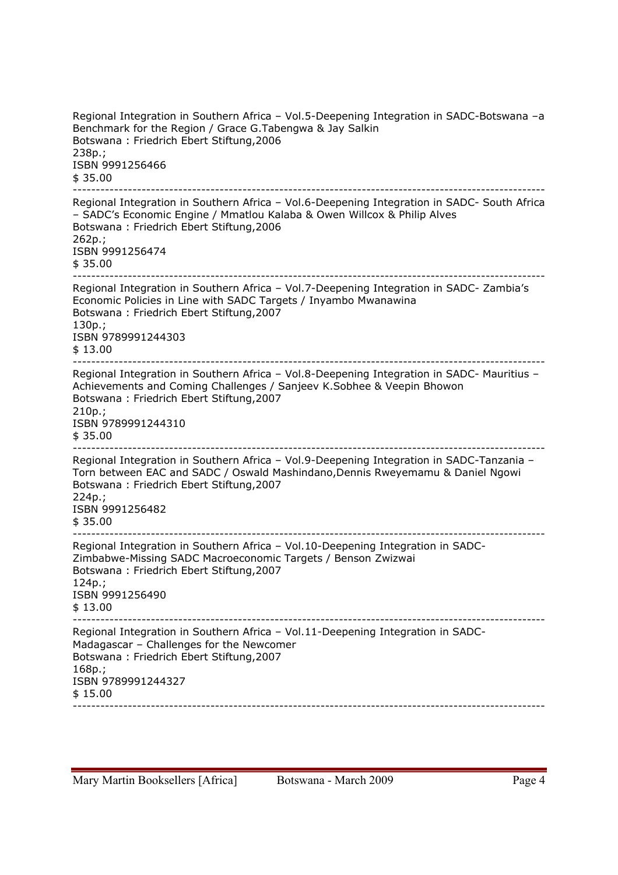Regional Integration in Southern Africa – Vol.5-Deepening Integration in SADC-Botswana –a Benchmark for the Region / Grace G.Tabengwa & Jay Salkin Botswana : Friedrich Ebert Stiftung,2006 238p.; ISBN 9991256466 \$ 35.00 ------------------------------------------------------------------------------------------------------- Regional Integration in Southern Africa – Vol.6-Deepening Integration in SADC- South Africa – SADC's Economic Engine / Mmatlou Kalaba & Owen Willcox & Philip Alves Botswana : Friedrich Ebert Stiftung,2006 262p.; ISBN 9991256474 \$ 35.00 ------------------------------------------------------------------------------------------------------- Regional Integration in Southern Africa – Vol.7-Deepening Integration in SADC- Zambia's Economic Policies in Line with SADC Targets / Inyambo Mwanawina Botswana : Friedrich Ebert Stiftung,2007 130p.; ISBN 9789991244303 \$ 13.00 ------------------------------------------------------------------------------------------------------- Regional Integration in Southern Africa – Vol.8-Deepening Integration in SADC- Mauritius – Achievements and Coming Challenges / Sanjeev K.Sobhee & Veepin Bhowon Botswana : Friedrich Ebert Stiftung,2007 210p.; ISBN 9789991244310 \$ 35.00 ------------------------------------------------------------------------------------------------------- Regional Integration in Southern Africa – Vol.9-Deepening Integration in SADC-Tanzania – Torn between EAC and SADC / Oswald Mashindano,Dennis Rweyemamu & Daniel Ngowi Botswana : Friedrich Ebert Stiftung,2007 224p.; ISBN 9991256482 \$ 35.00 ------------------------------------------------------------------------------------------------------- Regional Integration in Southern Africa – Vol.10-Deepening Integration in SADC-Zimbabwe-Missing SADC Macroeconomic Targets / Benson Zwizwai Botswana : Friedrich Ebert Stiftung,2007 124p.; ISBN 9991256490 \$ 13.00 ------------------------------------------------------------------------------------------------------- Regional Integration in Southern Africa – Vol.11-Deepening Integration in SADC-Madagascar – Challenges for the Newcomer Botswana : Friedrich Ebert Stiftung,2007 168p.; ISBN 9789991244327 \$ 15.00 -------------------------------------------------------------------------------------------------------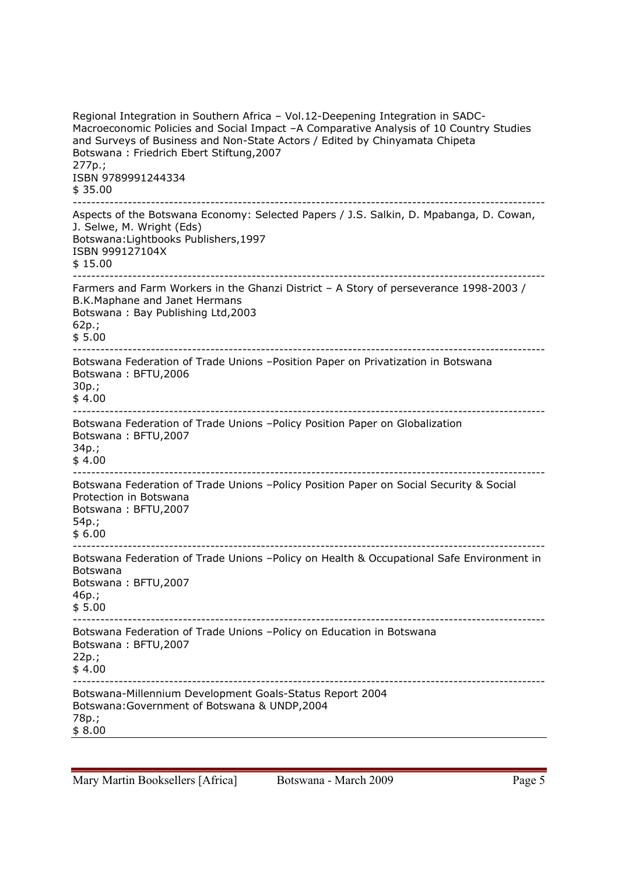Regional Integration in Southern Africa – Vol.12-Deepening Integration in SADC-Macroeconomic Policies and Social Impact –A Comparative Analysis of 10 Country Studies and Surveys of Business and Non-State Actors / Edited by Chinyamata Chipeta Botswana : Friedrich Ebert Stiftung,2007 277p.; ISBN 9789991244334 \$ 35.00 ------------------------------------------------------------------------------------------------------- Aspects of the Botswana Economy: Selected Papers / J.S. Salkin, D. Mpabanga, D. Cowan, J. Selwe, M. Wright (Eds) Botswana:Lightbooks Publishers,1997 ISBN 999127104X \$ 15.00 ------------------------------------------------------------------------------------------------------- Farmers and Farm Workers in the Ghanzi District – A Story of perseverance 1998-2003 / B.K.Maphane and Janet Hermans Botswana : Bay Publishing Ltd,2003 62p.; \$ 5.00 ------------------------------------------------------------------------------------------------------- Botswana Federation of Trade Unions –Position Paper on Privatization in Botswana Botswana : BFTU,2006 30p.; \$ 4.00 ------------------------------------------------------------------------------------------------------- Botswana Federation of Trade Unions –Policy Position Paper on Globalization Botswana : BFTU,2007 34p.; \$ 4.00 ------------------------------------------------------------------------------------------------------- Botswana Federation of Trade Unions –Policy Position Paper on Social Security & Social Protection in Botswana Botswana : BFTU,2007 54p.;  $$6.00$ ------------------------------------------------------------------------------------------------------- Botswana Federation of Trade Unions –Policy on Health & Occupational Safe Environment in Botswana Botswana : BFTU,2007 46p.; \$ 5.00 ------------------------------------------------------------------------------------------------------- Botswana Federation of Trade Unions –Policy on Education in Botswana Botswana : BFTU,2007 22p.;  $$4.00$ ------------------------------------------------------------------------------------------------------- Botswana-Millennium Development Goals-Status Report 2004 Botswana:Government of Botswana & UNDP,2004 78p.; \$ 8.00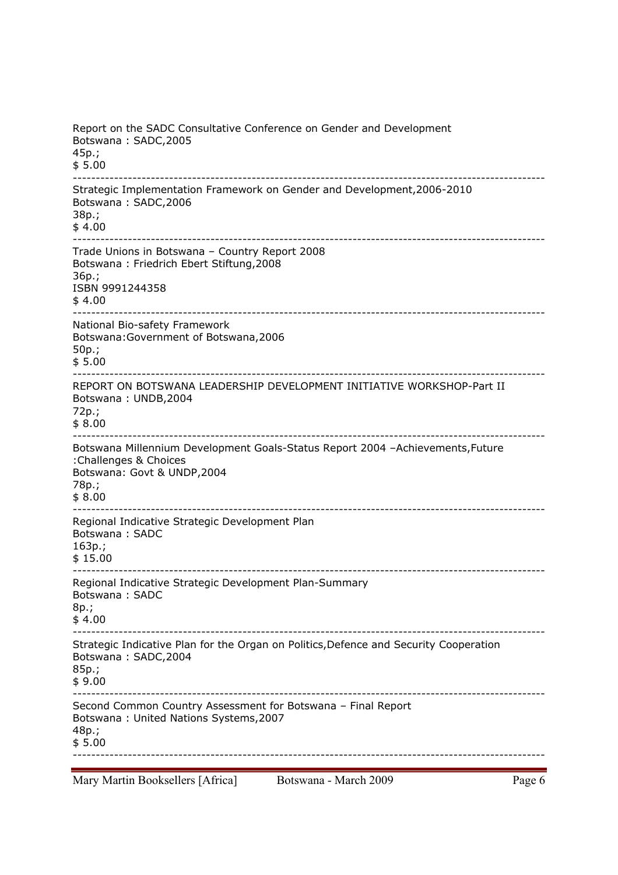Report on the SADC Consultative Conference on Gender and Development Botswana : SADC,2005 45p.; \$ 5.00 ------------------------------------------------------------------------------------------------------- Strategic Implementation Framework on Gender and Development,2006-2010 Botswana : SADC,2006 38p.; \$ 4.00 ------------------------------------------------------------------------------------------------------- Trade Unions in Botswana – Country Report 2008 Botswana : Friedrich Ebert Stiftung,2008 36p.; ISBN 9991244358 \$ 4.00 ------------------------------------------------------------------------------------------------------- National Bio-safety Framework Botswana:Government of Botswana,2006 50p.; \$ 5.00 ------------------------------------------------------------------------------------------------------- REPORT ON BOTSWANA LEADERSHIP DEVELOPMENT INITIATIVE WORKSHOP-Part II Botswana : UNDB,2004 72p.; \$ 8.00 ------------------------------------------------------------------------------------------------------- Botswana Millennium Development Goals-Status Report 2004 –Achievements,Future :Challenges & Choices Botswana: Govt & UNDP,2004 78p.; \$ 8.00 ------------------------------------------------------------------------------------------------------- Regional Indicative Strategic Development Plan Botswana : SADC 163p.; \$ 15.00 ------------------------------------------------------------------------------------------------------- Regional Indicative Strategic Development Plan-Summary Botswana : SADC 8p.;  $$4.00$ ------------------------------------------------------------------------------------------------------- Strategic Indicative Plan for the Organ on Politics,Defence and Security Cooperation Botswana : SADC,2004 85p.; \$ 9.00 ------------------------------------------------------------------------------------------------------- Second Common Country Assessment for Botswana – Final Report Botswana : United Nations Systems,2007 48p.; \$ 5.00 -------------------------------------------------------------------------------------------------------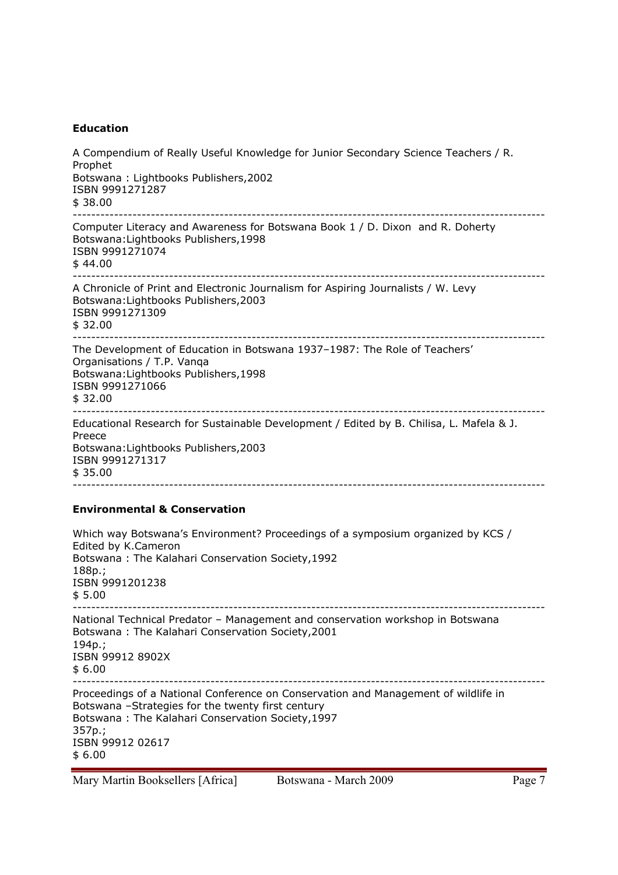# **Education**

| A Compendium of Really Useful Knowledge for Junior Secondary Science Teachers / R.<br>Prophet<br>Botswana: Lightbooks Publishers, 2002<br>ISBN 9991271287<br>\$38.00                                                                 |
|--------------------------------------------------------------------------------------------------------------------------------------------------------------------------------------------------------------------------------------|
| Computer Literacy and Awareness for Botswana Book 1 / D. Dixon and R. Doherty<br>Botswana: Lightbooks Publishers, 1998<br>ISBN 9991271074<br>\$44.00                                                                                 |
| A Chronicle of Print and Electronic Journalism for Aspiring Journalists / W. Levy<br>Botswana: Lightbooks Publishers, 2003<br>ISBN 9991271309<br>\$32.00                                                                             |
| The Development of Education in Botswana 1937-1987: The Role of Teachers'<br>Organisations / T.P. Vanqa<br>Botswana: Lightbooks Publishers, 1998<br>ISBN 9991271066<br>\$32.00                                                       |
| Educational Research for Sustainable Development / Edited by B. Chilisa, L. Mafela & J.<br>Preece<br>Botswana: Lightbooks Publishers, 2003<br>ISBN 9991271317<br>\$35.00                                                             |
| <b>Environmental &amp; Conservation</b>                                                                                                                                                                                              |
| Which way Botswana's Environment? Proceedings of a symposium organized by KCS /<br>Edited by K.Cameron<br>Botswana: The Kalahari Conservation Society, 1992<br>$188p.$ ;<br>ISBN 9991201238<br>\$5.00                                |
| National Technical Predator - Management and conservation workshop in Botswana<br>Botswana: The Kalahari Conservation Society, 2001<br>194p.;<br>ISBN 99912 8902X<br>\$6.00                                                          |
| Proceedings of a National Conference on Conservation and Management of wildlife in<br>Botswana -Strategies for the twenty first century<br>Botswana: The Kalahari Conservation Society, 1997<br>357p.;<br>ISBN 99912 02617<br>\$6.00 |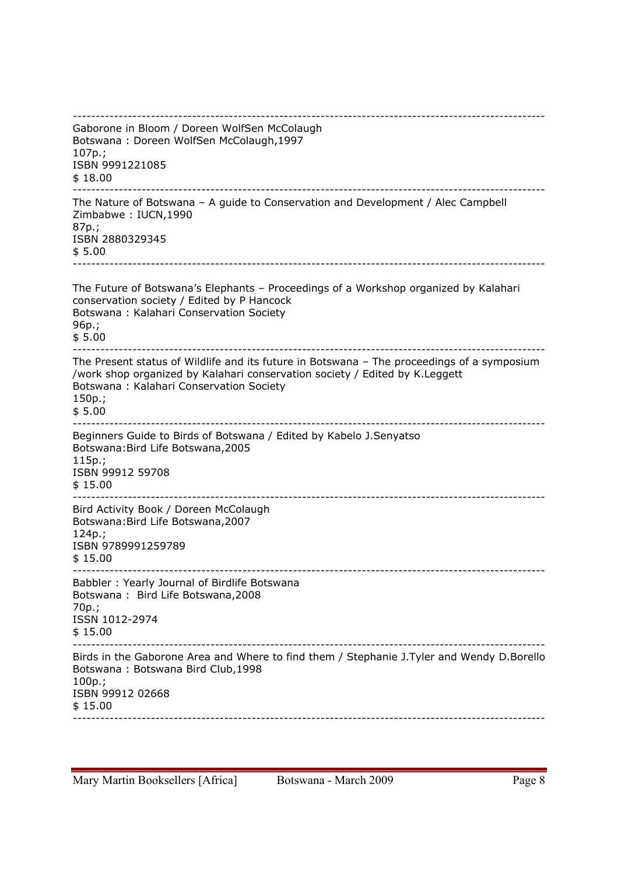------------------------------------------------------------------------------------------------------- Gaborone in Bloom / Doreen WolfSen McColaugh Botswana : Doreen WolfSen McColaugh,1997 107p.; ISBN 9991221085 \$ 18.00 ------------------------------------------------------------------------------------------------------- The Nature of Botswana – A guide to Conservation and Development / Alec Campbell Zimbabwe : IUCN,1990 87p.; ISBN 2880329345 \$ 5.00 ------------------------------------------------------------------------------------------------------- The Future of Botswana's Elephants – Proceedings of a Workshop organized by Kalahari conservation society / Edited by P Hancock Botswana : Kalahari Conservation Society 96p.; \$ 5.00 ------------------------------------------------------------------------------------------------------- The Present status of Wildlife and its future in Botswana – The proceedings of a symposium /work shop organized by Kalahari conservation society / Edited by K.Leggett Botswana : Kalahari Conservation Society 150p.; \$ 5.00 ------------------------------------------------------------------------------------------------------- Beginners Guide to Birds of Botswana / Edited by Kabelo J.Senyatso Botswana:Bird Life Botswana,2005 115p.; ISBN 99912 59708 \$ 15.00 ------------------------------------------------------------------------------------------------------- Bird Activity Book / Doreen McColaugh Botswana:Bird Life Botswana,2007 124p.; ISBN 9789991259789 \$ 15.00 ------------------------------------------------------------------------------------------------------- Babbler : Yearly Journal of Birdlife Botswana Botswana : Bird Life Botswana,2008 70p.; ISSN 1012-2974 \$ 15.00 ------------------------------------------------------------------------------------------------------- Birds in the Gaborone Area and Where to find them / Stephanie J.Tyler and Wendy D.Borello Botswana : Botswana Bird Club,1998 100p.; ISBN 99912 02668 \$ 15.00 -------------------------------------------------------------------------------------------------------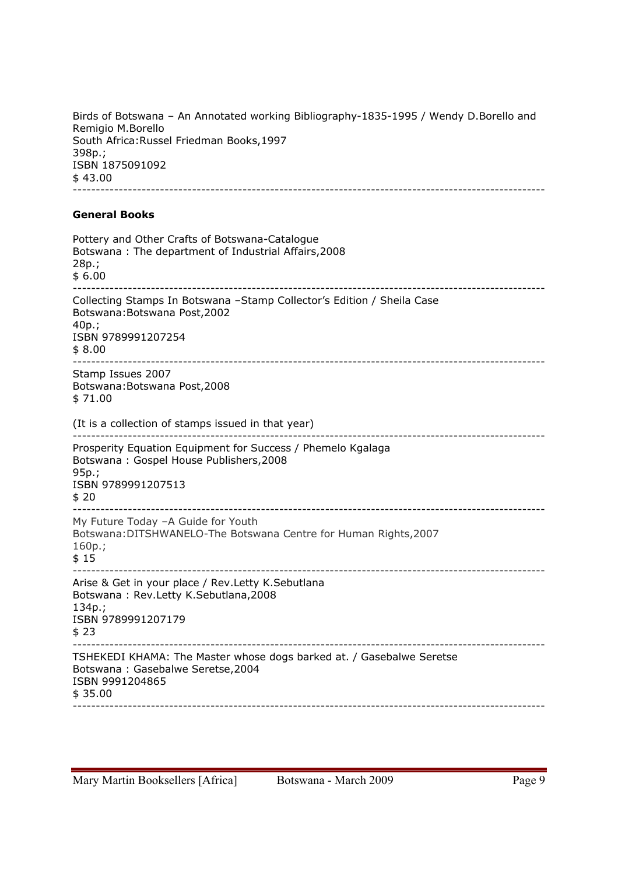Birds of Botswana – An Annotated working Bibliography-1835-1995 / Wendy D.Borello and Remigio M.Borello South Africa:Russel Friedman Books,1997 398p.; ISBN 1875091092 \$ 43.00 -------------------------------------------------------------------------------------------------------

# **General Books**

| Pottery and Other Crafts of Botswana-Catalogue<br>Botswana: The department of Industrial Affairs, 2008<br>$28p.$ ;<br>\$6.00                        |
|-----------------------------------------------------------------------------------------------------------------------------------------------------|
| Collecting Stamps In Botswana -Stamp Collector's Edition / Sheila Case<br>Botswana: Botswana Post, 2002<br>$40p.$ ;<br>ISBN 9789991207254<br>\$8.00 |
| Stamp Issues 2007<br>Botswana: Botswana Post, 2008<br>\$71.00                                                                                       |
| (It is a collection of stamps issued in that year)                                                                                                  |
| Prosperity Equation Equipment for Success / Phemelo Kgalaga<br>Botswana: Gospel House Publishers, 2008<br>95p.;<br>ISBN 9789991207513<br>\$20       |
| My Future Today -A Guide for Youth<br>Botswana: DITSHWANELO-The Botswana Centre for Human Rights, 2007<br>$160p.$ ;<br>\$15                         |
| Arise & Get in your place / Rev. Letty K. Sebutlana<br>Botswana: Rev.Letty K.Sebutlana, 2008<br>134p.;<br>ISBN 9789991207179<br>\$23                |
| TSHEKEDI KHAMA: The Master whose dogs barked at. / Gasebalwe Seretse<br>Botswana: Gasebalwe Seretse, 2004<br>ISBN 9991204865<br>\$35.00             |
|                                                                                                                                                     |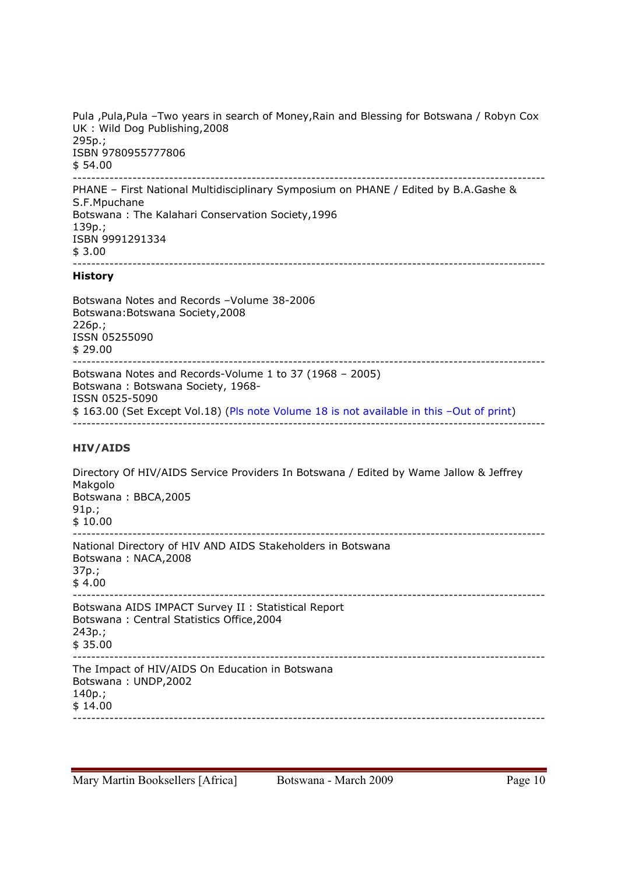Pula ,Pula,Pula –Two years in search of Money,Rain and Blessing for Botswana / Robyn Cox UK : Wild Dog Publishing,2008 295p.; ISBN 9780955777806 \$ 54.00 -------------------------------------------------------------------------------------------------------

PHANE – First National Multidisciplinary Symposium on PHANE / Edited by B.A.Gashe & S.F.Mpuchane Botswana : The Kalahari Conservation Society,1996 139p.; ISBN 9991291334 \$ 3.00 -------------------------------------------------------------------------------------------------------

## **History**

Botswana Notes and Records –Volume 38-2006 Botswana:Botswana Society,2008 226p.; ISSN 05255090 \$ 29.00 ------------------------------------------------------------------------------------------------------- Botswana Notes and Records-Volume 1 to 37 (1968 – 2005) Botswana : Botswana Society, 1968- ISSN 0525-5090 \$ 163.00 (Set Except Vol.18) (Pls note Volume 18 is not available in this –Out of print) -------------------------------------------------------------------------------------------------------

# **HIV/AIDS**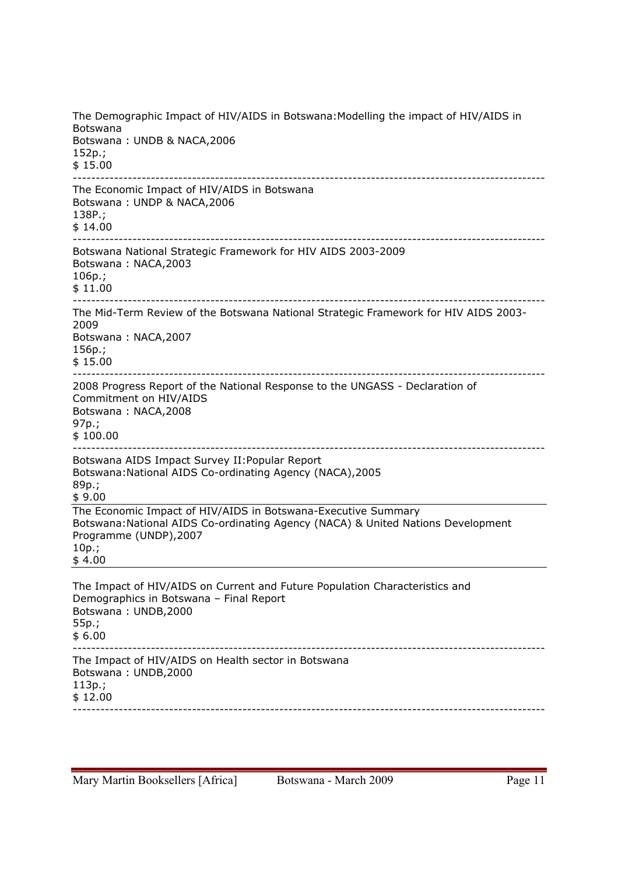The Demographic Impact of HIV/AIDS in Botswana:Modelling the impact of HIV/AIDS in Botswana Botswana : UNDB & NACA,2006 152p.; \$ 15.00 ------------------------------------------------------------------------------------------------------- The Economic Impact of HIV/AIDS in Botswana Botswana : UNDP & NACA,2006 138P.; \$ 14.00 ------------------------------------------------------------------------------------------------------- Botswana National Strategic Framework for HIV AIDS 2003-2009 Botswana : NACA,2003 106p.; \$ 11.00 ------------------------------------------------------------------------------------------------------- The Mid-Term Review of the Botswana National Strategic Framework for HIV AIDS 2003- 2009 Botswana : NACA,2007 156p.; \$ 15.00 ------------------------------------------------------------------------------------------------------- 2008 Progress Report of the National Response to the UNGASS - Declaration of Commitment on HIV/AIDS Botswana : NACA,2008 97p.; \$ 100.00 ------------------------------------------------------------------------------------------------------- Botswana AIDS Impact Survey II:Popular Report Botswana:National AIDS Co-ordinating Agency (NACA),2005 89p.; \$ 9.00 The Economic Impact of HIV/AIDS in Botswana-Executive Summary Botswana:National AIDS Co-ordinating Agency (NACA) & United Nations Development Programme (UNDP),2007 10p.; \$ 4.00 The Impact of HIV/AIDS on Current and Future Population Characteristics and Demographics in Botswana – Final Report Botswana : UNDB,2000 55p.; \$ 6.00 ------------------------------------------------------------------------------------------------------- The Impact of HIV/AIDS on Health sector in Botswana Botswana : UNDB,2000 113p.; \$ 12.00 -------------------------------------------------------------------------------------------------------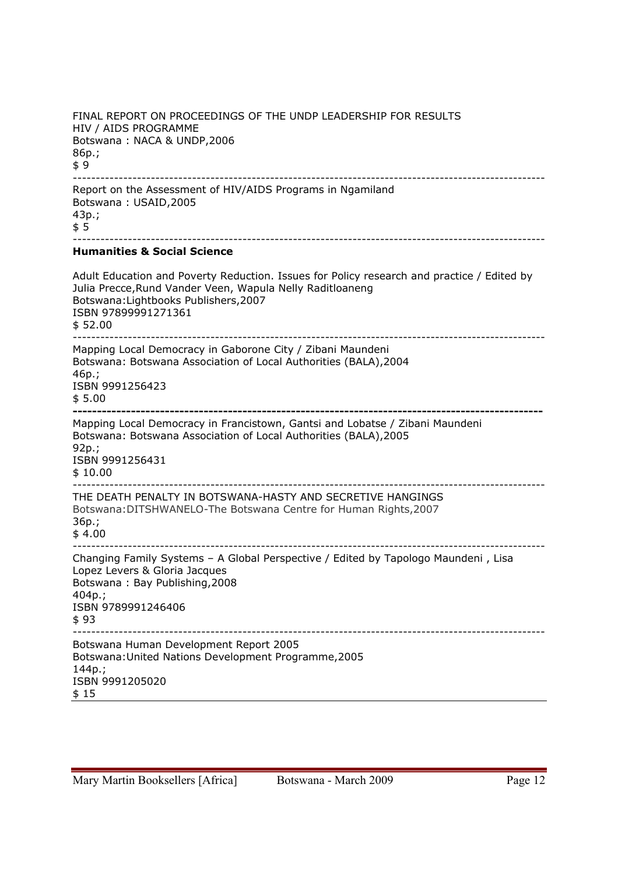FINAL REPORT ON PROCEEDINGS OF THE UNDP LEADERSHIP FOR RESULTS HIV / AIDS PROGRAMME Botswana : NACA & UNDP,2006 86p.;  $$9$ ------------------------------------------------------------------------------------------------------- Report on the Assessment of HIV/AIDS Programs in Ngamiland Botswana : USAID,2005 43p.; \$ 5 ------------------------------------------------------------------------------------------------------- **Humanities & Social Science**  Adult Education and Poverty Reduction. Issues for Policy research and practice / Edited by Julia Precce,Rund Vander Veen, Wapula Nelly Raditloaneng Botswana:Lightbooks Publishers,2007 ISBN 97899991271361 \$ 52.00 ------------------------------------------------------------------------------------------------------- Mapping Local Democracy in Gaborone City / Zibani Maundeni Botswana: Botswana Association of Local Authorities (BALA),2004 46p.; ISBN 9991256423 \$ 5.00 **-------------------------------------------------------------------------------------------------**  Mapping Local Democracy in Francistown, Gantsi and Lobatse / Zibani Maundeni Botswana: Botswana Association of Local Authorities (BALA),2005 92p.; ISBN 9991256431 \$ 10.00 ------------------------------------------------------------------------------------------------------- THE DEATH PENALTY IN BOTSWANA-HASTY AND SECRETIVE HANGINGS Botswana:DITSHWANELO-The Botswana Centre for Human Rights,2007 36p.;  $$4.00$ ------------------------------------------------------------------------------------------------------- Changing Family Systems – A Global Perspective / Edited by Tapologo Maundeni , Lisa Lopez Levers & Gloria Jacques Botswana : Bay Publishing,2008 404p.; ISBN 9789991246406 \$ 93 ------------------------------------------------------------------------------------------------------- Botswana Human Development Report 2005 Botswana:United Nations Development Programme,2005 144p.; ISBN 9991205020 \$ 15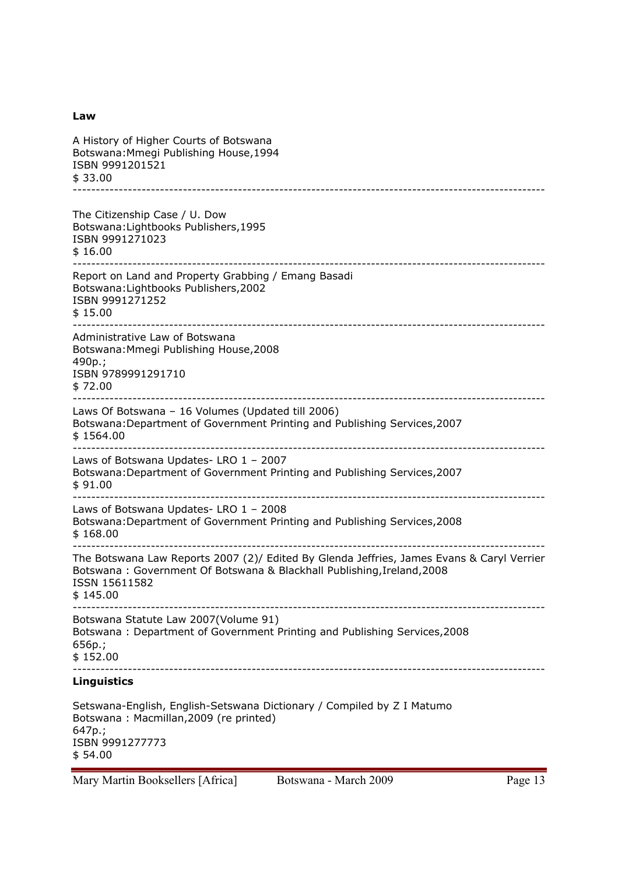#### **Law**

| A History of Higher Courts of Botswana<br>Botswana: Mmegi Publishing House, 1994                                                                                                                 |
|--------------------------------------------------------------------------------------------------------------------------------------------------------------------------------------------------|
| ISBN 9991201521<br>\$33.00                                                                                                                                                                       |
| The Citizenship Case / U. Dow<br>Botswana: Lightbooks Publishers, 1995<br>ISBN 9991271023<br>\$16.00                                                                                             |
| Report on Land and Property Grabbing / Emang Basadi<br>Botswana: Lightbooks Publishers, 2002<br>ISBN 9991271252<br>\$15.00                                                                       |
| Administrative Law of Botswana<br>Botswana: Mmegi Publishing House, 2008<br>490p.;<br>ISBN 9789991291710<br>\$72.00                                                                              |
| Laws Of Botswana - 16 Volumes (Updated till 2006)<br>Botswana: Department of Government Printing and Publishing Services, 2007<br>\$1564.00                                                      |
| Laws of Botswana Updates- LRO 1 - 2007<br>Botswana: Department of Government Printing and Publishing Services, 2007<br>\$91.00                                                                   |
| Laws of Botswana Updates- LRO 1 - 2008<br>Botswana: Department of Government Printing and Publishing Services, 2008<br>\$168.00                                                                  |
| The Botswana Law Reports 2007 (2)/ Edited By Glenda Jeffries, James Evans & Caryl Verrier<br>Botswana: Government Of Botswana & Blackhall Publishing, Ireland, 2008<br>ISSN 15611582<br>\$145.00 |
| Botswana Statute Law 2007(Volume 91)<br>Botswana: Department of Government Printing and Publishing Services, 2008<br>656p.;<br>\$152.00                                                          |
| <b>Linguistics</b>                                                                                                                                                                               |
| Cotourana English, Fralish Cotourana Distingence (Compiled by 7 I Matumes)                                                                                                                       |

Setswana-English, English-Setswana Dictionary / Compiled by Z I Matumo Botswana : Macmillan,2009 (re printed) 647p.; ISBN 9991277773 \$ 54.00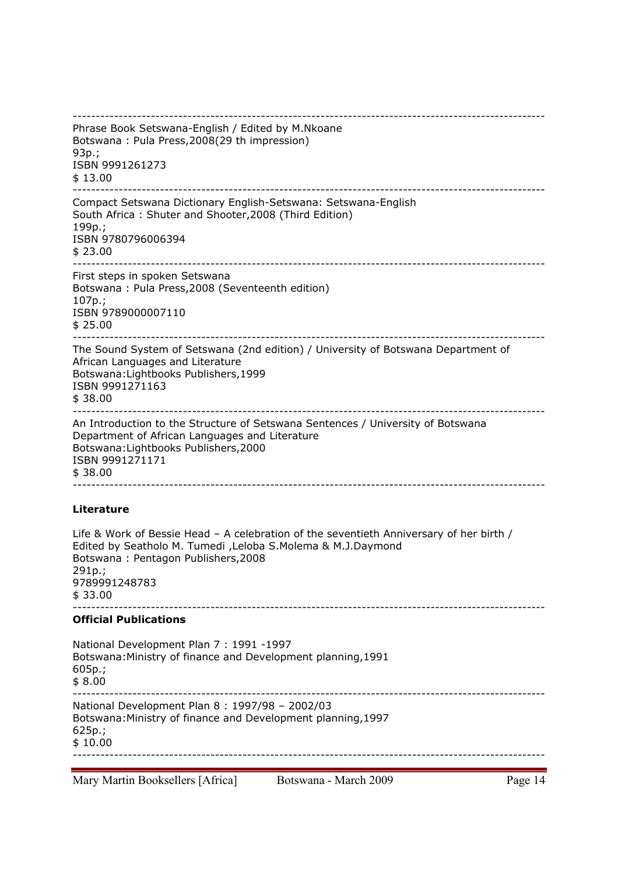| Phrase Book Setswana-English / Edited by M.Nkoane<br>Botswana: Pula Press, 2008(29 th impression)<br>$93p.$ ;<br>ISBN 9991261273<br>\$13.00                                                                                         |
|-------------------------------------------------------------------------------------------------------------------------------------------------------------------------------------------------------------------------------------|
| Compact Setswana Dictionary English-Setswana: Setswana-English<br>South Africa: Shuter and Shooter, 2008 (Third Edition)<br>199p.;<br>ISBN 9780796006394<br>\$23.00                                                                 |
| First steps in spoken Setswana<br>Botswana: Pula Press, 2008 (Seventeenth edition)<br>$107p.$ ;<br>ISBN 9789000007110<br>\$25.00                                                                                                    |
| The Sound System of Setswana (2nd edition) / University of Botswana Department of<br>African Languages and Literature<br>Botswana: Lightbooks Publishers, 1999<br>ISBN 9991271163<br>\$38.00                                        |
| An Introduction to the Structure of Setswana Sentences / University of Botswana<br>Department of African Languages and Literature<br>Botswana: Lightbooks Publishers, 2000<br>ISBN 9991271171<br>\$38.00                            |
| <b>Literature</b>                                                                                                                                                                                                                   |
| Life & Work of Bessie Head - A celebration of the seventieth Anniversary of her birth /<br>Edited by Seatholo M. Tumedi, Leloba S.Molema & M.J.Daymond<br>Botswana: Pentagon Publishers, 2008<br>291p.;<br>9789991248783<br>\$33.00 |
| <b>Official Publications</b>                                                                                                                                                                                                        |
| National Development Plan 7: 1991 -1997<br>Botswana: Ministry of finance and Development planning, 1991<br>$605p.$ ;<br>\$8.00                                                                                                      |
| National Development Plan 8: 1997/98 - 2002/03<br>Botswana: Ministry of finance and Development planning, 1997<br>$625p.$ ;<br>\$10.00                                                                                              |
| Mary Martin Booksellers [Africa]<br>Botswana - March 2009<br>Page 14                                                                                                                                                                |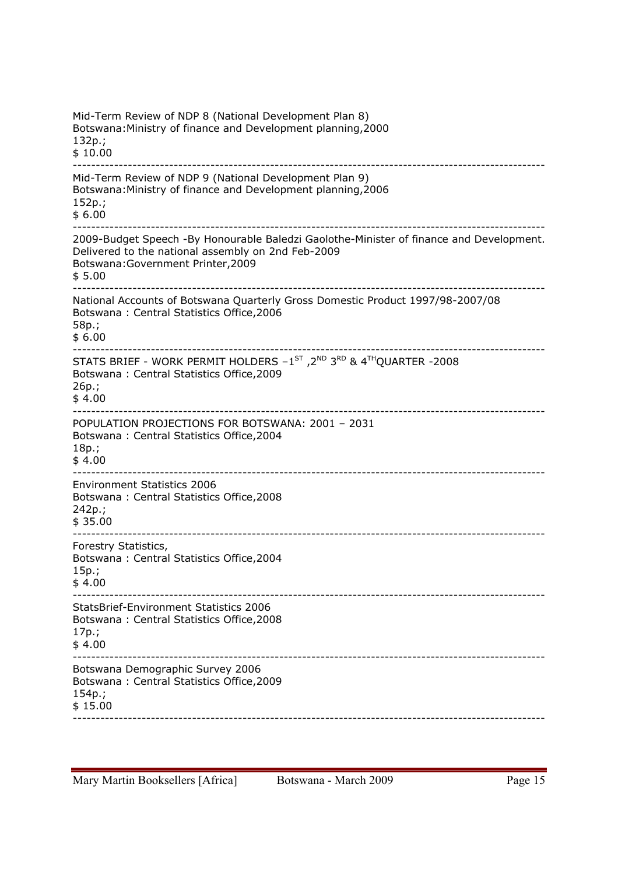Mid-Term Review of NDP 8 (National Development Plan 8) Botswana:Ministry of finance and Development planning,2000 132p.; \$ 10.00 ------------------------------------------------------------------------------------------------------- Mid-Term Review of NDP 9 (National Development Plan 9) Botswana:Ministry of finance and Development planning,2006 152p.; \$ 6.00 ------------------------------------------------------------------------------------------------------- 2009-Budget Speech -By Honourable Baledzi Gaolothe-Minister of finance and Development. Delivered to the national assembly on 2nd Feb-2009 Botswana:Government Printer,2009 \$ 5.00 ------------------------------------------------------------------------------------------------------- National Accounts of Botswana Quarterly Gross Domestic Product 1997/98-2007/08 Botswana : Central Statistics Office,2006 58p.; \$ 6.00 ------------------------------------------------------------------------------------------------------- STATS BRIEF - WORK PERMIT HOLDERS  $-1^\text{ST}$ ,  $2^\text{ND}$   $3^\text{RD}$  &  $4^\text{TH}$ QUARTER -2008 Botswana : Central Statistics Office,2009 26p.; \$ 4.00 ------------------------------------------------------------------------------------------------------- POPULATION PROJECTIONS FOR BOTSWANA: 2001 – 2031 Botswana : Central Statistics Office,2004 18p.; \$ 4.00 ------------------------------------------------------------------------------------------------------- Environment Statistics 2006 Botswana : Central Statistics Office,2008 242p.; \$ 35.00 ------------------------------------------------------------------------------------------------------- Forestry Statistics, Botswana : Central Statistics Office,2004 15p.; \$ 4.00 ------------------------------------------------------------------------------------------------------- StatsBrief-Environment Statistics 2006 Botswana : Central Statistics Office,2008 17p.; \$ 4.00 ------------------------------------------------------------------------------------------------------- Botswana Demographic Survey 2006 Botswana : Central Statistics Office,2009 154p.; \$ 15.00 -------------------------------------------------------------------------------------------------------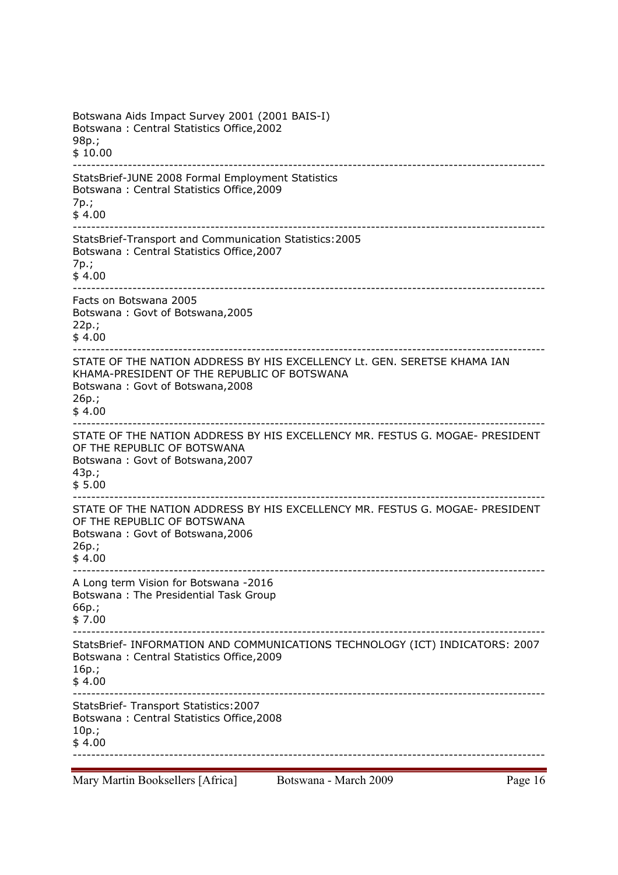Botswana Aids Impact Survey 2001 (2001 BAIS-I) Botswana : Central Statistics Office,2002 98p.; \$ 10.00 ------------------------------------------------------------------------------------------------------- StatsBrief-JUNE 2008 Formal Employment Statistics Botswana : Central Statistics Office,2009 7p.; \$ 4.00 ------------------------------------------------------------------------------------------------------- StatsBrief-Transport and Communication Statistics:2005 Botswana : Central Statistics Office,2007 7p.; \$ 4.00 ------------------------------------------------------------------------------------------------------- Facts on Botswana 2005 Botswana : Govt of Botswana,2005 22p.; \$ 4.00 ------------------------------------------------------------------------------------------------------- STATE OF THE NATION ADDRESS BY HIS EXCELLENCY Lt. GEN. SERETSE KHAMA IAN KHAMA-PRESIDENT OF THE REPUBLIC OF BOTSWANA Botswana : Govt of Botswana,2008 26p.; \$ 4.00 ------------------------------------------------------------------------------------------------------- STATE OF THE NATION ADDRESS BY HIS EXCELLENCY MR. FESTUS G. MOGAE- PRESIDENT OF THE REPUBLIC OF BOTSWANA Botswana : Govt of Botswana,2007 43p.; \$ 5.00 ------------------------------------------------------------------------------------------------------- STATE OF THE NATION ADDRESS BY HIS EXCELLENCY MR. FESTUS G. MOGAE- PRESIDENT OF THE REPUBLIC OF BOTSWANA Botswana : Govt of Botswana,2006 26p.; \$ 4.00 ------------------------------------------------------------------------------------------------------- A Long term Vision for Botswana -2016 Botswana : The Presidential Task Group 66p.; \$ 7.00 ------------------------------------------------------------------------------------------------------- StatsBrief- INFORMATION AND COMMUNICATIONS TECHNOLOGY (ICT) INDICATORS: 2007 Botswana : Central Statistics Office,2009 16p.;  $$4.00$ ------------------------------------------------------------------------------------------------------- StatsBrief- Transport Statistics:2007 Botswana : Central Statistics Office,2008 10p.; \$ 4.00 -------------------------------------------------------------------------------------------------------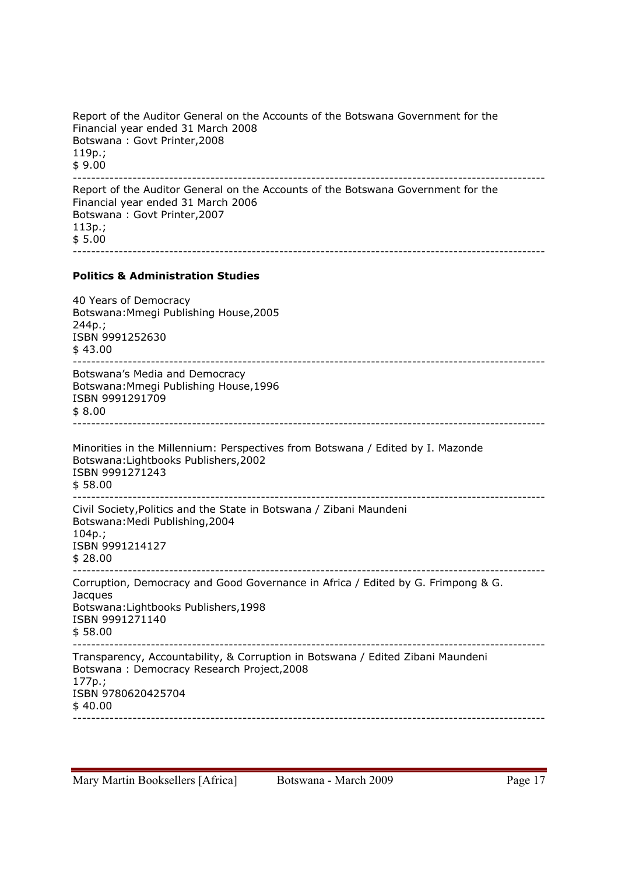Report of the Auditor General on the Accounts of the Botswana Government for the Financial year ended 31 March 2008 Botswana : Govt Printer,2008 119p.; \$ 9.00 ------------------------------------------------------------------------------------------------------- Report of the Auditor General on the Accounts of the Botswana Government for the Financial year ended 31 March 2006 Botswana : Govt Printer,2007 113p.; \$ 5.00 ------------------------------------------------------------------------------------------------------- **Politics & Administration Studies**  40 Years of Democracy Botswana:Mmegi Publishing House,2005 244p.; ISBN 9991252630 \$ 43.00 ------------------------------------------------------------------------------------------------------- Botswana's Media and Democracy Botswana:Mmegi Publishing House,1996 ISBN 9991291709 \$ 8.00 ------------------------------------------------------------------------------------------------------- Minorities in the Millennium: Perspectives from Botswana / Edited by I. Mazonde Botswana:Lightbooks Publishers,2002 ISBN 9991271243 \$ 58.00 ------------------------------------------------------------------------------------------------------- Civil Society,Politics and the State in Botswana / Zibani Maundeni Botswana:Medi Publishing,2004 104p.; ISBN 9991214127 \$ 28.00 ------------------------------------------------------------------------------------------------------- Corruption, Democracy and Good Governance in Africa / Edited by G. Frimpong & G. **Jacques** Botswana:Lightbooks Publishers,1998 ISBN 9991271140 \$ 58.00 ------------------------------------------------------------------------------------------------------- Transparency, Accountability, & Corruption in Botswana / Edited Zibani Maundeni Botswana : Democracy Research Project,2008 177p.; ISBN 9780620425704  $$40.00$ -------------------------------------------------------------------------------------------------------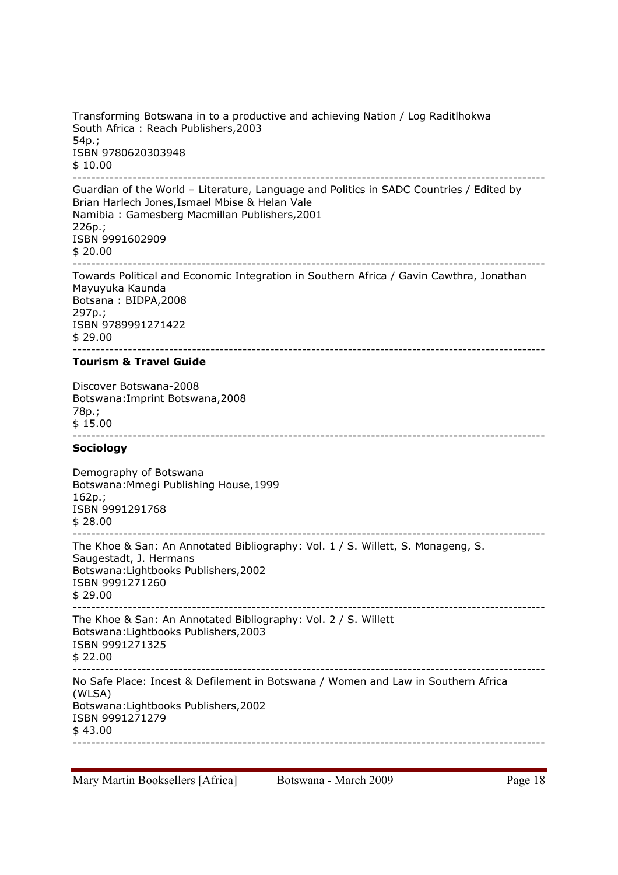Transforming Botswana in to a productive and achieving Nation / Log Raditlhokwa South Africa : Reach Publishers,2003 54p.; ISBN 9780620303948 \$ 10.00 -------------------------------------------------------------------------------------------------------

Guardian of the World – Literature, Language and Politics in SADC Countries / Edited by Brian Harlech Jones,Ismael Mbise & Helan Vale Namibia : Gamesberg Macmillan Publishers,2001 226p.; ISBN 9991602909 \$ 20.00 ------------------------------------------------------------------------------------------------------- Towards Political and Economic Integration in Southern Africa / Gavin Cawthra, Jonathan

Mayuyuka Kaunda Botsana : BIDPA,2008 297p.; ISBN 9789991271422 \$ 29.00 -------------------------------------------------------------------------------------------------------

#### **Tourism & Travel Guide**

Discover Botswana-2008 Botswana:Imprint Botswana,2008 78p.; \$ 15.00 -------------------------------------------------------------------------------------------------------

#### **Sociology**

Demography of Botswana Botswana:Mmegi Publishing House,1999 162p.; ISBN 9991291768 \$ 28.00 ------------------------------------------------------------------------------------------------------- The Khoe & San: An Annotated Bibliography: Vol. 1 / S. Willett, S. Monageng, S. Saugestadt, J. Hermans Botswana:Lightbooks Publishers,2002 ISBN 9991271260 \$ 29.00 ------------------------------------------------------------------------------------------------------- The Khoe & San: An Annotated Bibliography: Vol. 2 / S. Willett Botswana:Lightbooks Publishers,2003 ISBN 9991271325 \$ 22.00 ------------------------------------------------------------------------------------------------------- No Safe Place: Incest & Defilement in Botswana / Women and Law in Southern Africa (WLSA) Botswana:Lightbooks Publishers,2002 ISBN 9991271279 \$ 43.00 -------------------------------------------------------------------------------------------------------